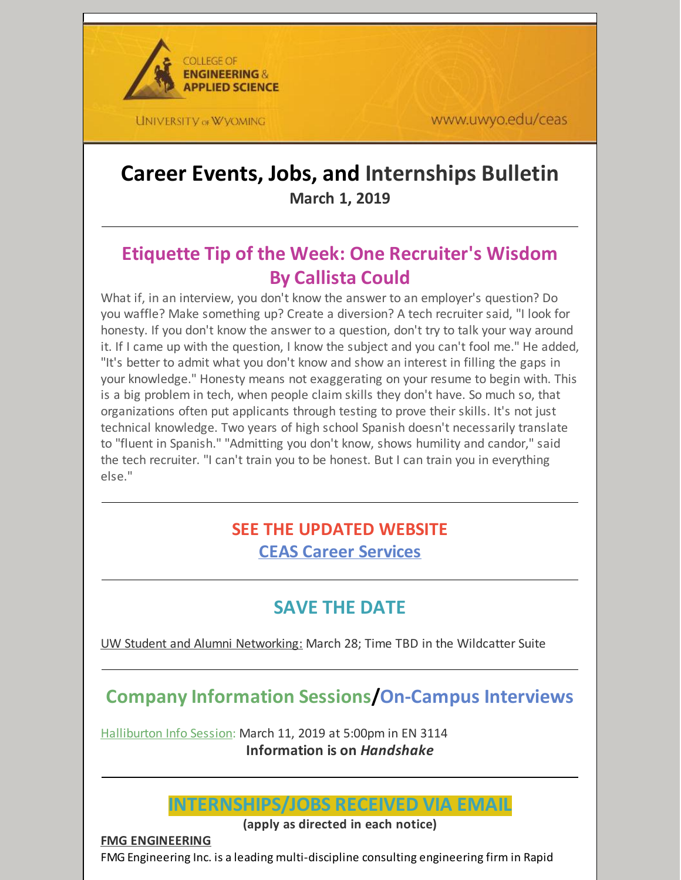

www.uwyo.edu/ceas

# **Career Events, Jobs, and Internships Bulletin March 1, 2019**

# **Etiquette Tip of the Week: One Recruiter's Wisdom By Callista Could**

What if, in an interview, you don't know the answer to an employer's question? Do you waffle? Make something up? Create a diversion? A tech recruiter said, "I look for honesty. If you don't know the answer to a question, don't try to talk your way around it. If I came up with the question, I know the subject and you can't fool me." He added, "It's better to admit what you don't know and show an interest in filling the gaps in your knowledge." Honesty means not exaggerating on your resume to begin with. This is a big problem in tech, when people claim skills they don't have. So much so, that organizations often put applicants through testing to prove their skills. It's not just technical knowledge. Two years of high school Spanish doesn't necessarily translate to "fluent in Spanish." "Admitting you don't know, shows humility and candor," said the tech recruiter. "I can't train you to be honest. But I can train you in everything else."

# **SEE THE UPDATED WEBSITE CEAS Career [Services](http://www.uwyo.edu/ceas/resources/studentservices/jobs/index.html)**

# **SAVE THE DATE**

UW Student and Alumni Networking: March 28; Time TBD in the Wildcatter Suite

# **Company Information Sessions/On-Campus Interviews**

Halliburton Info Session: March 11, 2019 at 5:00pm in EN 3114 **Information is on** *Handshake*



**(apply as directed in each notice)**

**FMG ENGINEERING**

FMG Engineering Inc. is a leading multi-discipline consulting engineering firm in Rapid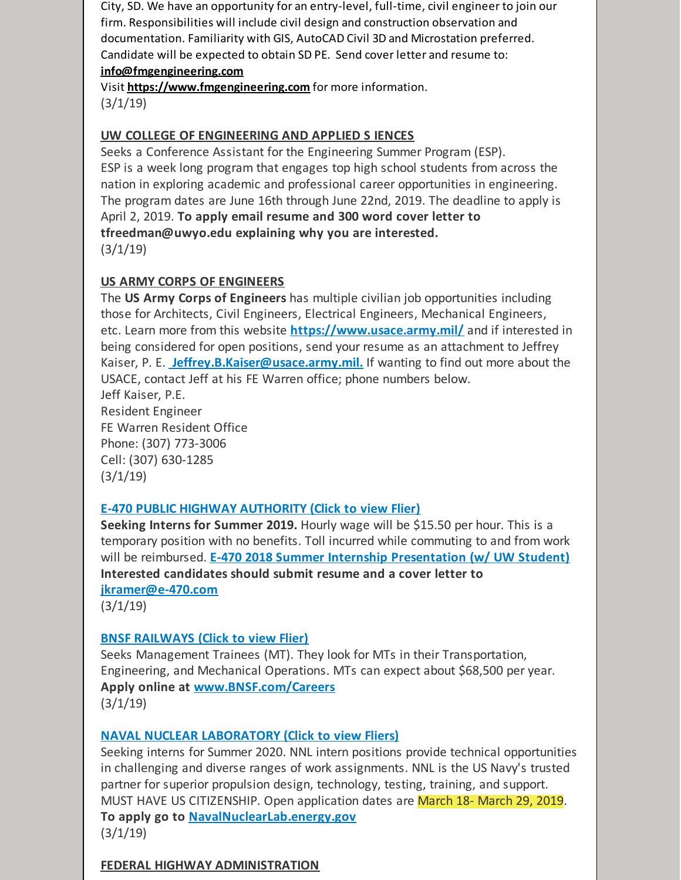City, SD. We have an opportunity for an entry-level, full-time, civil engineer to join our firm. Responsibilities will include civil design and construction observation and documentation. Familiarity with GIS, AutoCAD Civil 3D and Microstation preferred. Candidate will be expected to obtain SD PE. Send cover letter and resume to: **[info@fmgengineering.com](mailto:info@fmgengineering.com)**

[Visit](https://www.fmgengineering.com) **<https://www.fmgengineering.com>** for more [information.](https://www.fmgengineering.com)  $(3/1/19)$ 

#### **UW COLLEGE OF ENGINEERING AND APPLIED S IENCES**

Seeks a Conference Assistant for the Engineering Summer Program (ESP). ESP is a week long program that engages top high school students from across the nation in exploring academic and professional career opportunities in engineering. The program dates are June 16th through June 22nd, 2019. The deadline to apply is April 2, 2019. **To apply email resume and 300 word cover letter to tfreedman@uwyo.edu explaining why you are interested.**  $(3/1/19)$ 

## **US ARMY CORPS OF ENGINEERS**

The **US Army Corps of Engineers** has multiple civilian job opportunities including those for Architects, Civil Engineers, Electrical Engineers, Mechanical Engineers, etc. Learn more from this website **<https://www.usace.army.mil/>** and if interested in being considered for open positions, send your resume as an attachment to Jeffrey Kaiser, P. E. **[Jeffrey.B.Kaiser@usace.army.mil.](mailto:Jeffrey.B.Kaiser@usace.army.mil)** If wanting to find out more about the USACE, contact Jeff at his FE Warren office; phone numbers below. Jeff Kaiser, P.E.

Resident Engineer FE Warren Resident Office Phone: (307) 773-3006 Cell: (307) 630-1285 (3/1/19)

#### **E-470 PUBLIC HIGHWAY [AUTHORITY](https://files.constantcontact.com/b2624f04701/d8ffa485-930a-4ae4-b3f2-3f15ead3ca97.pdf) (Click to view Flier)**

**Seeking Interns for Summer 2019.** Hourly wage will be \$15.50 per hour. This is a temporary position with no benefits. Toll incurred while commuting to and from work will be reimbursed. **E-470 2018 Summer Internship [Presentation](https://www.youtube.com/watch?v=69y2FYAXa0M&feature=youtu.be) (w/ UW Student) Interested candidates should submit resume and a cover letter to [jkramer@e-470.com](mailto:jkramer@e-470.com)**

(3/1/19)

# **BNSF [RAILWAYS](https://files.constantcontact.com/b2624f04701/1c0af664-0eec-4323-8060-377a18974033.pdf) (Click to view Flier)**

Seeks Management Trainees (MT). They look for MTs in their Transportation, Engineering, and Mechanical Operations. MTs can expect about \$68,500 per year. **Apply online at [www.BNSF.com/Careers](http://www.bnsf.com/Careers)**  $(3/1/19)$ 

# **NAVAL NUCLEAR [LABORATORY](https://files.constantcontact.com/b2624f04701/16d9d4d4-3fea-4e92-b58d-597cf144e00e.pdf) (Click to view Fliers)**

Seeking interns for Summer 2020. NNL intern positions provide technical opportunities in challenging and diverse ranges of work assignments. NNL is the US Navy's trusted partner for superior propulsion design, technology, testing, training, and support. MUST HAVE US CITIZENSHIP. Open application dates are March 18- March 29, 2019. **To apply go to [NavalNuclearLab.energy.gov](http://navalnuclearlab.energy.gov)**  $(3/1/19)$ 

#### **FEDERAL HIGHWAY ADMINISTRATION**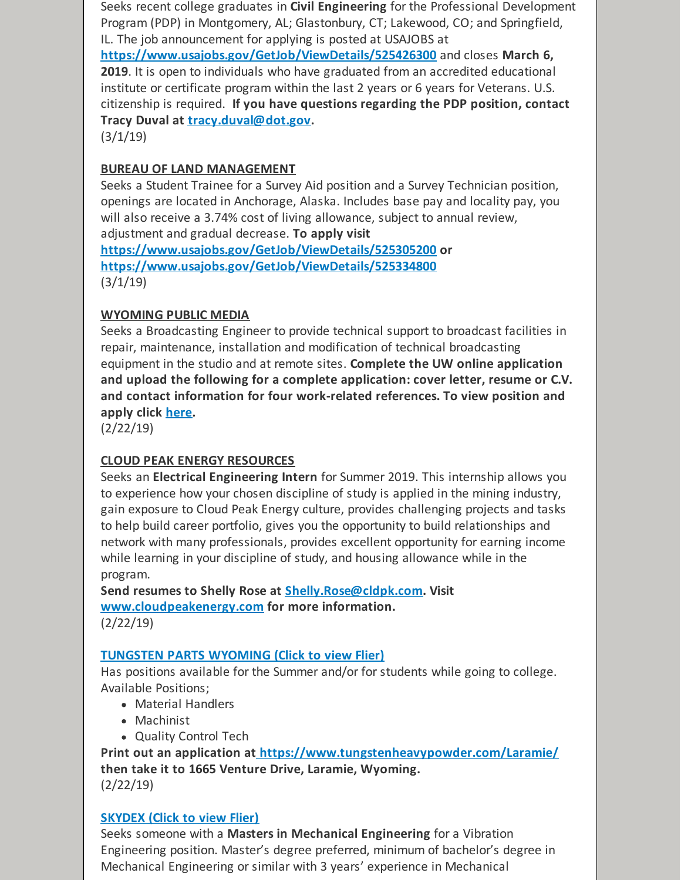Seeks recent college graduates in **Civil Engineering** for the Professional Development Program (PDP) in Montgomery, AL; Glastonbury, CT; Lakewood, CO; and Springfield, IL. The job announcement for applying is posted at USAJOBS at

**<https://www.usajobs.gov/GetJob/ViewDetails/525426300>** and closes **March 6, 2019**. It is open to individuals who have graduated from an accredited educational institute or certificate program within the last 2 years or 6 years for Veterans. U.S. citizenship is required. **If you have questions regarding the PDP position, contact Tracy Duval at [tracy.duval@dot.gov](mailto:tracy.duval@dot.gov).**

(3/1/19)

# **BUREAU OF LAND MANAGEMENT**

Seeks a Student Trainee for a Survey Aid position and a Survey Technician position, openings are located in Anchorage, Alaska. Includes base pay and locality pay, you will also receive a 3.74% cost of living allowance, subject to annual review, adjustment and gradual decrease. **To apply visit**

**<https://www.usajobs.gov/GetJob/ViewDetails/525305200> or <https://www.usajobs.gov/GetJob/ViewDetails/525334800>**  $(3/1/19)$ 

# **WYOMING PUBLIC MEDIA**

Seeks a Broadcasting Engineer to provide technical support to broadcast facilities in repair, maintenance, installation and modification of technical broadcasting equipment in the studio and at remote sites. **Complete the UW online application and upload the following for a complete application: cover letter, resume or C.V. and contact information for four work-related references. To view position and apply click [here](https://uwyo.taleo.net/careersection/00_ex/jobdetail.ftl?job=19000216&lang=en#.XE8yvOiKWuA.mailto).**

(2/22/19)

# **CLOUD PEAK ENERGY RESOURCES**

Seeks an **Electrical Engineering Intern** for Summer 2019. This internship allows you to experience how your chosen discipline of study is applied in the mining industry, gain exposure to Cloud Peak Energy culture, provides challenging projects and tasks to help build career portfolio, gives you the opportunity to build relationships and network with many professionals, provides excellent opportunity for earning income while learning in your discipline of study, and housing allowance while in the program.

**Send resumes to Shelly Rose at [Shelly.Rose@cldpk.com](mailto:Shelly.Rose@cldpk.com). Visit [www.cloudpeakenergy.com](http://www.cloudpeakenergy.com) for more information.** (2/22/19)

#### **[TUNGSTEN](https://files.constantcontact.com/b2624f04701/28fb3c24-0eec-4681-a480-d44dd2145f61.pptx) PARTS WYOMING (Click to view Flier)**

Has positions available for the Summer and/or for students while going to college. Available Positions;

- Material Handlers
- Machinist
- Quality Control Tech

**Print out an application at <https://www.tungstenheavypowder.com/Laramie/> then take it to 1665 Venture Drive, Laramie, Wyoming.** (2/22/19)

# **[SKYDEX](https://files.constantcontact.com/b2624f04701/47db4771-a2e0-48a2-b50f-b02f6eeff77c.docx) (Click to view Flier)**

Seeks someone with a **Masters in Mechanical Engineering** for a Vibration Engineering position. Master's degree preferred, minimum of bachelor's degree in Mechanical Engineering or similar with 3 years' experience in Mechanical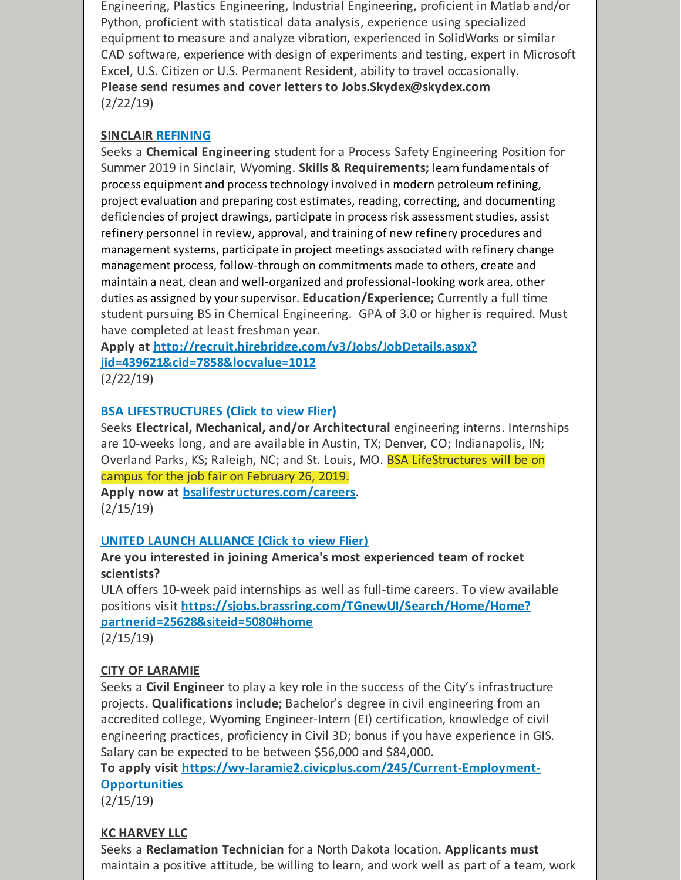Engineering, Plastics Engineering, Industrial Engineering, proficient in Matlab and/or Python, proficient with statistical data analysis, experience using specialized equipment to measure and analyze vibration, experienced in SolidWorks or similar CAD software, experience with design of experiments and testing, expert in Microsoft Excel, U.S. Citizen or U.S. Permanent Resident, ability to travel occasionally. **Please send resumes and cover letters to Jobs.Skydex@skydex.com** (2/22/19)

## **SINCLAIR [REFINING](mailto:Jobs.Skydex@skydex.com)**

Seeks a **Chemical Engineering** student for a Process Safety Engineering Position for Summer 2019 in Sinclair, Wyoming. **Skills & Requirements;** learn fundamentals of process equipment and process technology involved in modern petroleum refining, project evaluation and preparing cost estimates, reading, correcting, and documenting deficiencies of project drawings, participate in process risk assessment studies, assist refinery personnel in review, approval, and training of new refinery procedures and management systems, participate in project meetings associated with refinery change management process, follow-through on commitments made to others, create and maintain a neat, clean and well-organized and professional-looking work area, other duties as assigned by yoursupervisor. **Education/Experience;** Currently a full time student pursuing BS in Chemical Engineering. GPA of 3.0 or higher is required. Must have completed at least freshman year.

**Apply at [http://recruit.hirebridge.com/v3/Jobs/JobDetails.aspx?](http://recruit.hirebridge.com/v3/Jobs/JobDetails.aspx?jid=439621&cid=7858&locvalue=1012) jid=439621&cid=7858&locvalue=1012**

(2/22/19)

## **BSA [LIFESTRUCTURES](https://files.constantcontact.com/b2624f04701/abbb95fd-2d86-4fea-a7f3-0dfe93f4b13b.pdf) (Click to view Flier)**

Seeks **Electrical, Mechanical, and/or Architectural** engineering interns. Internships are 10-weeks long, and are available in Austin, TX; Denver, CO; Indianapolis, IN; Overland Parks, KS; Raleigh, NC; and St. Louis, MO. BSA LifeStructures will be on campus for the job fair on February 26, 2019.

**Apply now at [bsalifestructures.com/careers](http://bsalifestructures.com/careers).** (2/15/19)

#### **UNITED LAUNCH [ALLIANCE](https://files.constantcontact.com/b2624f04701/78915ab6-2800-4c83-8cdf-de051715f157.pdf) (Click to view Flier)**

#### **Are you interested in joining America's most experienced team of rocket scientists?**

ULA offers 10-week paid internships as well as full-time careers. To view available positions visit **[https://sjobs.brassring.com/TGnewUI/Search/Home/Home?](https://sjobs.brassring.com/TGnewUI/Search/Home/Home?partnerid=25628&siteid=5080#home) partnerid=25628&siteid=5080#home** (2/15/19)

# **CITY OF LARAMIE**

Seeks a **Civil Engineer** to play a key role in the success of the City's infrastructure projects. **Qualifications include;** Bachelor's degree in civil engineering from an accredited college, Wyoming Engineer-Intern (EI) certification, knowledge of civil engineering practices, proficiency in Civil 3D; bonus if you have experience in GIS. Salary can be expected to be between \$56,000 and \$84,000.

**To apply visit [https://wy-laramie2.civicplus.com/245/Current-Employment-](https://wy-laramie2.civicplus.com/245/Current-Employment-Opportunities)Opportunities**

(2/15/19)

# **KC HARVEY LLC**

Seeks a **Reclamation Technician** for a North Dakota location. **Applicants must** maintain a positive attitude, be willing to learn, and work well as part of a team, work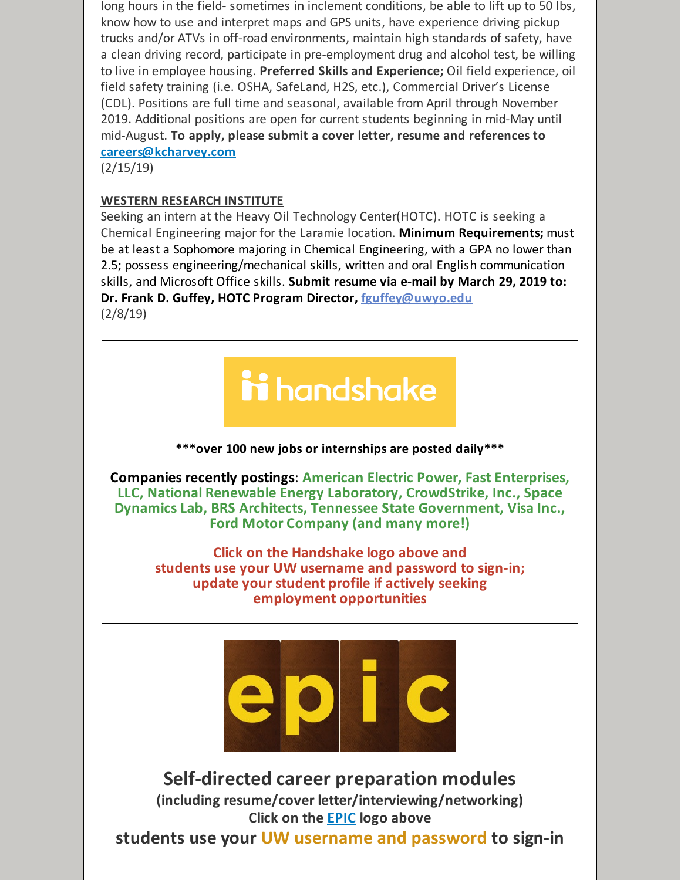long hours in the field- sometimes in inclement conditions, be able to lift up to 50 lbs, know how to use and interpret maps and GPS units, have experience driving pickup trucks and/or ATVs in off-road environments, maintain high standards of safety, have a clean driving record, participate in pre-employment drug and alcohol test, be willing to live in employee housing. **Preferred Skills and Experience;** Oil field experience, oil field safety training (i.e. OSHA, SafeLand, H2S, etc.), Commercial Driver's License (CDL). Positions are full time and seasonal, available from April through November 2019. Additional positions are open for current students beginning in mid-May until mid-August. **To apply, please submit a cover letter, resume and references to [careers@kcharvey.com](mailto:careers@kcharvey.com)**

(2/15/19)

#### **WESTERN RESEARCH INSTITUTE**

Seeking an intern at the Heavy Oil Technology Center(HOTC). HOTC is seeking a Chemical Engineering major for the Laramie location. **Minimum Requirements;** must be at least a Sophomore majoring in Chemical Engineering, with a GPA no lower than 2.5; possess engineering/mechanical skills, written and oral English communication skills, and Microsoft Office skills. **Submit resume via e-mail by March 29, 2019 to: Dr. Frank D. Guffey, HOTC Program Director, [fguffey@uwyo.edu](mailto:fguffey@uwyo.edu)** (2/8/19)

# ii handshake

**\*\*\*over 100 new jobs or internships are posted daily\*\*\***

**Companies recently postings**: **American Electric Power, Fast Enterprises, LLC, National Renewable Energy Laboratory, CrowdStrike, Inc., Space Dynamics Lab, BRS Architects, Tennessee State Government, Visa Inc., Ford Motor Company (and many more!)**

**Click on the [Handshake](http://www.uwyo.edu/aces/career-services/handshake.html) logo above and students use your UW username and password to sign-in; update your student profile if actively seeking employment opportunities**



**Self-directed career preparation modules (including resume/cover letter/interviewing/networking) Click on the [EPIC](http://www.uwyo.edu/aces/epic.html) logo above**

**students use your UW username and password to sign-in**